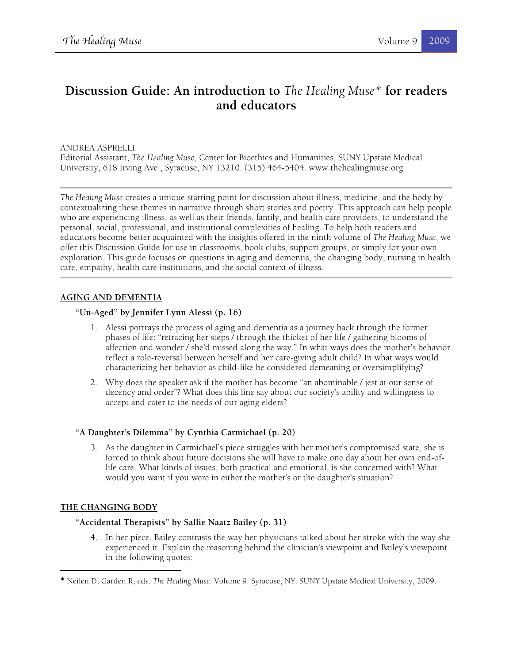# **Discussion Guide: An introduction to** *The Healing Muse\** **for readers and educators**

## ANDREA ASPRELLI

Editorial Assistant, *The Healing Muse*, Center for Bioethics and Humanities, SUNY Upstate Medical University, 618 Irving Ave., Syracuse, NY 13210. (315) 464-5404. www.thehealingmuse.org

*The Healing Muse* creates a unique starting point for discussion about illness, medicine, and the body by contextualizing these themes in narrative through short stories and poetry. This approach can help people who are experiencing illness, as well as their friends, family, and health care providers, to understand the personal, social, professional, and institutional complexities of healing. To help both readers and educators become better acquainted with the insights offered in the ninth volume of *The Healing Muse*, we offer this Discussion Guide for use in classrooms, book clubs, support groups, or simply for your own exploration. This guide focuses on questions in aging and dementia, the changing body, nursing in health care, empathy, health care institutions, and the social context of illness.

## **AGING AND DEMENTIA**

### **"Un-Aged" by Jennifer Lynn Alessi (p. 16)**

- 1. Alessi portrays the process of aging and dementia as a journey back through the former phases of life: "retracing her steps / through the thicket of her life / gathering blooms of affection and wonder / she'd missed along the way." In what ways does the mother's behavior reflect a role-reversal between herself and her care-giving adult child? In what ways would characterizing her behavior as child-like be considered demeaning or oversimplifying?
- 2. Why does the speaker ask if the mother has become "an abominable / jest at our sense of decency and order"? What does this line say about our society's ability and willingness to accept and cater to the needs of our aging elders?

## **"A Daughter's Dilemma" by Cynthia Carmichael (p. 20)**

3. As the daughter in Carmichael's piece struggles with her mother's compromised state, she is forced to think about future decisions she will have to make one day about her own end-oflife care. What kinds of issues, both practical and emotional, is she concerned with? What would you want if you were in either the mother's or the daughter's situation?

## **THE CHANGING BODY**

<u> 1989 - Johann Stein, fransk politik (d. 1989)</u>

## **"Accidental Therapists" by Sallie Naatz Bailey (p. 31)**

4. In her piece, Bailey contrasts the way her physicians talked about her stroke with the way she experienced it. Explain the reasoning behind the clinician's viewpoint and Bailey's viewpoint in the following quotes:

<sup>\*</sup> Neilen D, Garden R, eds. *The Healing Muse*. Volume 9. Syracuse, NY: SUNY Upstate Medical University, 2009.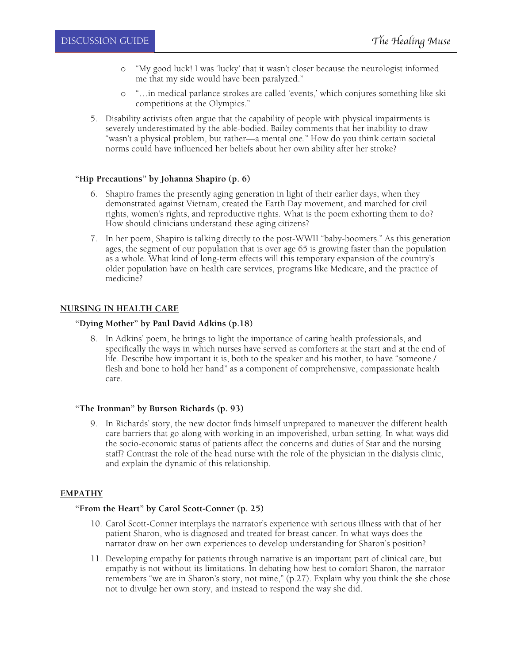- o "My good luck! I was 'lucky' that it wasn't closer because the neurologist informed me that my side would have been paralyzed."
- o "…in medical parlance strokes are called 'events,' which conjures something like ski competitions at the Olympics."
- 5. Disability activists often argue that the capability of people with physical impairments is severely underestimated by the able-bodied. Bailey comments that her inability to draw "wasn't a physical problem, but rather—a mental one." How do you think certain societal norms could have influenced her beliefs about her own ability after her stroke?

### **"Hip Precautions" by Johanna Shapiro (p. 6)**

- 6. Shapiro frames the presently aging generation in light of their earlier days, when they demonstrated against Vietnam, created the Earth Day movement, and marched for civil rights, women's rights, and reproductive rights. What is the poem exhorting them to do? How should clinicians understand these aging citizens?
- 7. In her poem, Shapiro is talking directly to the post-WWII "baby-boomers." As this generation ages, the segment of our population that is over age 65 is growing faster than the population as a whole. What kind of long-term effects will this temporary expansion of the country's older population have on health care services, programs like Medicare, and the practice of medicine?

## **NURSING IN HEALTH CARE**

### **"Dying Mother" by Paul David Adkins (p.18)**

8. In Adkins' poem, he brings to light the importance of caring health professionals, and specifically the ways in which nurses have served as comforters at the start and at the end of life. Describe how important it is, both to the speaker and his mother, to have "someone / flesh and bone to hold her hand" as a component of comprehensive, compassionate health care.

#### **"The Ironman" by Burson Richards (p. 93)**

9. In Richards' story, the new doctor finds himself unprepared to maneuver the different health care barriers that go along with working in an impoverished, urban setting. In what ways did the socio-economic status of patients affect the concerns and duties of Star and the nursing staff? Contrast the role of the head nurse with the role of the physician in the dialysis clinic, and explain the dynamic of this relationship.

## **EMPATHY**

## **"From the Heart" by Carol Scott-Conner (p. 25)**

- 10. Carol Scott-Conner interplays the narrator's experience with serious illness with that of her patient Sharon, who is diagnosed and treated for breast cancer. In what ways does the narrator draw on her own experiences to develop understanding for Sharon's position?
- 11. Developing empathy for patients through narrative is an important part of clinical care, but empathy is not without its limitations. In debating how best to comfort Sharon, the narrator remembers "we are in Sharon's story, not mine," (p.27). Explain why you think the she chose not to divulge her own story, and instead to respond the way she did.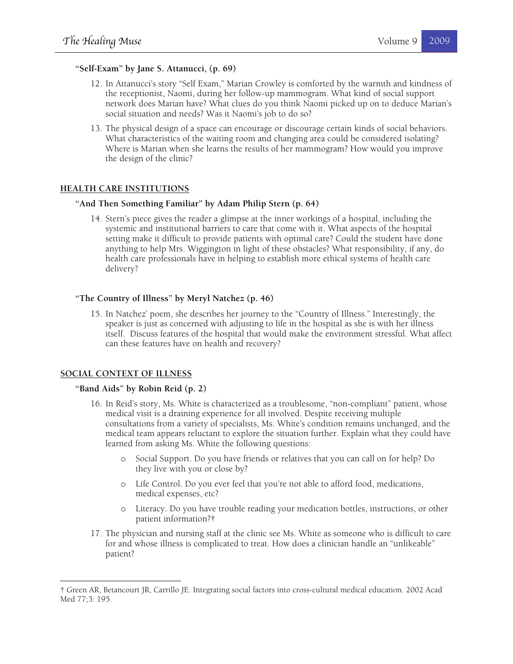#### **"Self-Exam" by Jane S. Attanucci, (p. 69)**

- 12. In Attanucci's story "Self Exam," Marian Crowley is comforted by the warmth and kindness of the receptionist, Naomi, during her follow-up mammogram. What kind of social support network does Marian have? What clues do you think Naomi picked up on to deduce Marian's social situation and needs? Was it Naomi's job to do so?
- 13. The physical design of a space can encourage or discourage certain kinds of social behaviors. What characteristics of the waiting room and changing area could be considered isolating? Where is Marian when she learns the results of her mammogram? How would you improve the design of the clinic?

#### **HEALTH CARE INSTITUTIONS**

#### **"And Then Something Familiar" by Adam Philip Stern (p. 64)**

14. Stern's piece gives the reader a glimpse at the inner workings of a hospital, including the systemic and institutional barriers to care that come with it. What aspects of the hospital setting make it difficult to provide patients with optimal care? Could the student have done anything to help Mrs. Wiggington in light of these obstacles? What responsibility, if any, do health care professionals have in helping to establish more ethical systems of health care delivery?

#### **"The Country of Illness" by Meryl Natchez (p. 46)**

15. In Natchez' poem, she describes her journey to the "Country of Illness." Interestingly, the speaker is just as concerned with adjusting to life in the hospital as she is with her illness itself. Discuss features of the hospital that would make the environment stressful. What affect can these features have on health and recovery?

#### **SOCIAL CONTEXT OF ILLNESS**

<u> 1989 - Johann Stein, fransk politik (d. 1989)</u>

#### **"Band Aids" by Robin Reid (p. 2)**

- 16. In Reid's story, Ms. White is characterized as a troublesome, "non-compliant" patient, whose medical visit is a draining experience for all involved. Despite receiving multiple consultations from a variety of specialists, Ms. White's condition remains unchanged, and the medical team appears reluctant to explore the situation further. Explain what they could have learned from asking Ms. White the following questions:
	- o Social Support. Do you have friends or relatives that you can call on for help? Do they live with you or close by?
	- o Life Control. Do you ever feel that you're not able to afford food, medications, medical expenses, etc?
	- o Literacy. Do you have trouble reading your medication bottles, instructions, or other patient information?†
- 17. The physician and nursing staff at the clinic see Ms. White as someone who is difficult to care for and whose illness is complicated to treat. How does a clinician handle an "unlikeable" patient?

<sup>†</sup> Green AR, Betancourt JR, Carrillo JE. Integrating social factors into cross-cultural medical education. 2002 Acad Med 77;3: 195.